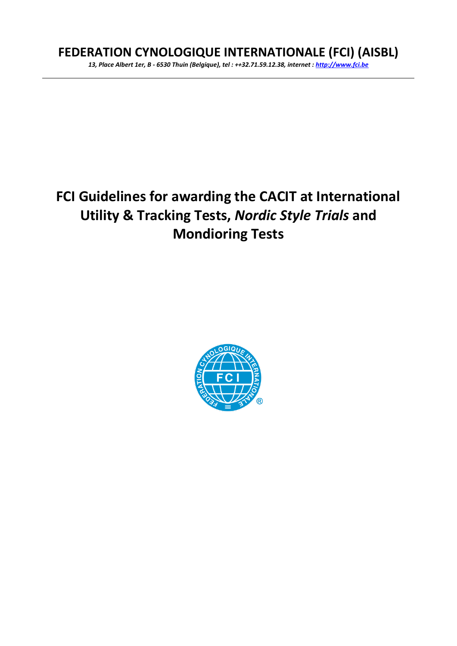## **FEDERATION CYNOLOGIQUE INTERNATIONALE (FCI) (AISBL)**

*13, Place Albert 1er, B - 6530 Thuin (Belgique), tel : ++32.71.59.12.38, internet [: http://www.fci.be](http://www.fci.be/)*

# **FCI Guidelines for awarding the CACIT at International Utility & Tracking Tests,** *Nordic Style Trials* **and Mondioring Tests**

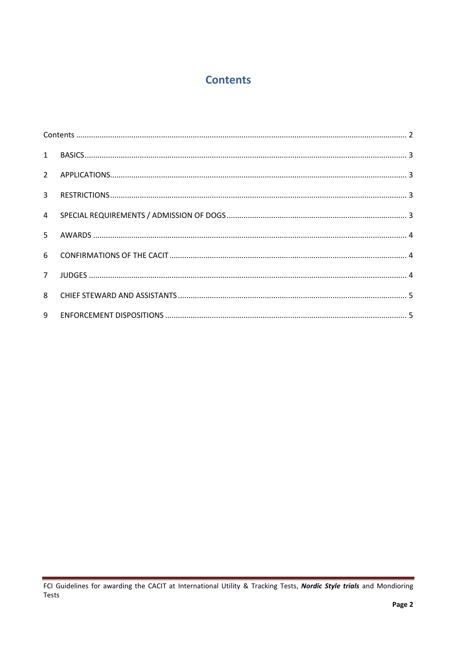### **Contents**

<span id="page-1-0"></span>

| 5 <sup>1</sup> |  |  |
|----------------|--|--|
|                |  |  |
| 7 <sup>7</sup> |  |  |
|                |  |  |
| 9              |  |  |

FCI Guidelines for awarding the CACIT at International Utility & Tracking Tests, Nordic Style trials and Mondioring Tests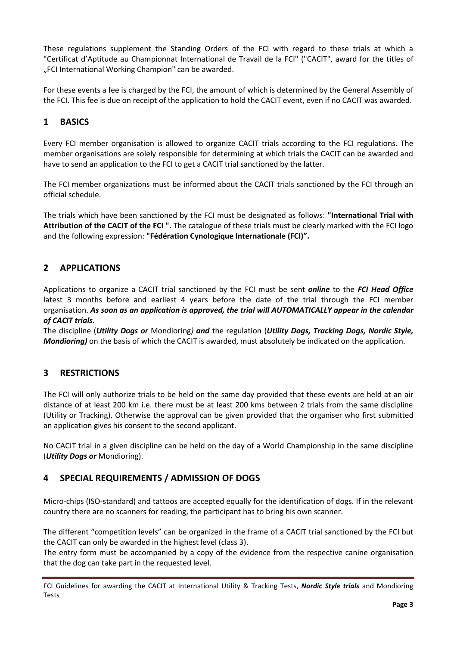These regulations supplement the Standing Orders of the FCI with regard to these trials at which a "Certificat d'Aptitude au Championnat International de Travail de la FCI" ("CACIT", award for the titles of "FCI International Working Champion" can be awarded.

For these events a fee is charged by the FCI, the amount of which is determined by the General Assembly of the FCI. This fee is due on receipt of the application to hold the CACIT event, even if no CACIT was awarded.

#### <span id="page-2-0"></span>**1 BASICS**

Every FCI member organisation is allowed to organize CACIT trials according to the FCI regulations. The member organisations are solely responsible for determining at which trials the CACIT can be awarded and have to send an application to the FCI to get a CACIT trial sanctioned by the latter.

The FCI member organizations must be informed about the CACIT trials sanctioned by the FCI through an official schedule.

The trials which have been sanctioned by the FCI must be designated as follows: **"International Trial with Attribution of the CACIT of the FCI ".** The catalogue of these trials must be clearly marked with the FCI logo and the following expression: **"Fédération Cynologique Internationale (FCI)".**

#### <span id="page-2-1"></span>**2 APPLICATIONS**

Applications to organize a CACIT trial sanctioned by the FCI must be sent *online* to the *FCI Head Office* latest 3 months before and earliest 4 years before the date of the trial through the FCI member organisation. *As soon as an application is approved, the trial will AUTOMATICALLY appear in the calendar of CACIT trials.*

The discipline (*Utility Dogs or* Mondioring*) and* the regulation (*Utility Dogs, Tracking Dogs, Nordic Style, Mondioring)* on the basis of which the CACIT is awarded, must absolutely be indicated on the application.

#### <span id="page-2-2"></span>**3 RESTRICTIONS**

The FCI will only authorize trials to be held on the same day provided that these events are held at an air distance of at least 200 km i.e. there must be at least 200 kms between 2 trials from the same discipline (Utility or Tracking). Otherwise the approval can be given provided that the organiser who first submitted an application gives his consent to the second applicant.

No CACIT trial in a given discipline can be held on the day of a World Championship in the same discipline (*Utility Dogs or* Mondioring).

#### <span id="page-2-3"></span>**4 SPECIAL REQUIREMENTS / ADMISSION OF DOGS**

Micro-chips (ISO-standard) and tattoos are accepted equally for the identification of dogs. If in the relevant country there are no scanners for reading, the participant has to bring his own scanner.

The different "competition levels" can be organized in the frame of a CACIT trial sanctioned by the FCI but the CACIT can only be awarded in the highest level (class 3).

The entry form must be accompanied by a copy of the evidence from the respective canine organisation that the dog can take part in the requested level.

FCI Guidelines for awarding the CACIT at International Utility & Tracking Tests, *Nordic Style trials* and Mondioring Tests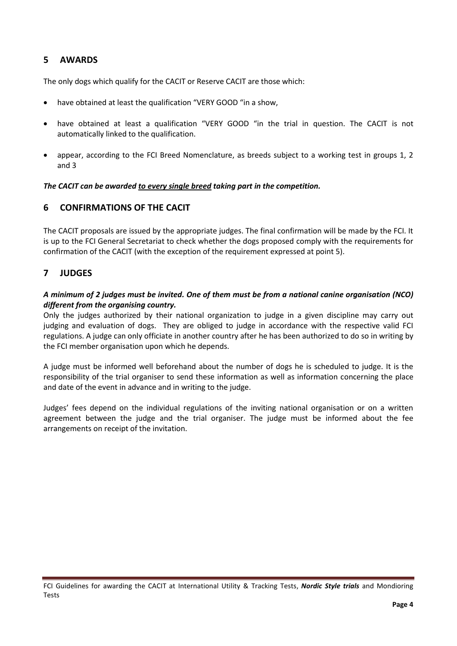#### <span id="page-3-0"></span>**5 AWARDS**

The only dogs which qualify for the CACIT or Reserve CACIT are those which:

- have obtained at least the qualification "VERY GOOD" in a show,
- have obtained at least a qualification "VERY GOOD "in the trial in question. The CACIT is not automatically linked to the qualification.
- appear, according to the FCI Breed Nomenclature, as breeds subject to a working test in groups 1, 2 and 3

*The CACIT can be awarded to every single breed taking part in the competition.*

#### <span id="page-3-1"></span>**6 CONFIRMATIONS OF THE CACIT**

The CACIT proposals are issued by the appropriate judges. The final confirmation will be made by the FCI. It is up to the FCI General Secretariat to check whether the dogs proposed comply with the requirements for confirmation of the CACIT (with the exception of the requirement expressed at point 5).

#### <span id="page-3-2"></span>**7 JUDGES**

#### *A minimum of 2 judges must be invited. One of them must be from a national canine organisation (NCO) different from the organising country.*

Only the judges authorized by their national organization to judge in a given discipline may carry out judging and evaluation of dogs. They are obliged to judge in accordance with the respective valid FCI regulations. A judge can only officiate in another country after he has been authorized to do so in writing by the FCI member organisation upon which he depends.

A judge must be informed well beforehand about the number of dogs he is scheduled to judge. It is the responsibility of the trial organiser to send these information as well as information concerning the place and date of the event in advance and in writing to the judge.

Judges' fees depend on the individual regulations of the inviting national organisation or on a written agreement between the judge and the trial organiser. The judge must be informed about the fee arrangements on receipt of the invitation.

FCI Guidelines for awarding the CACIT at International Utility & Tracking Tests, *Nordic Style trials* and Mondioring Tests